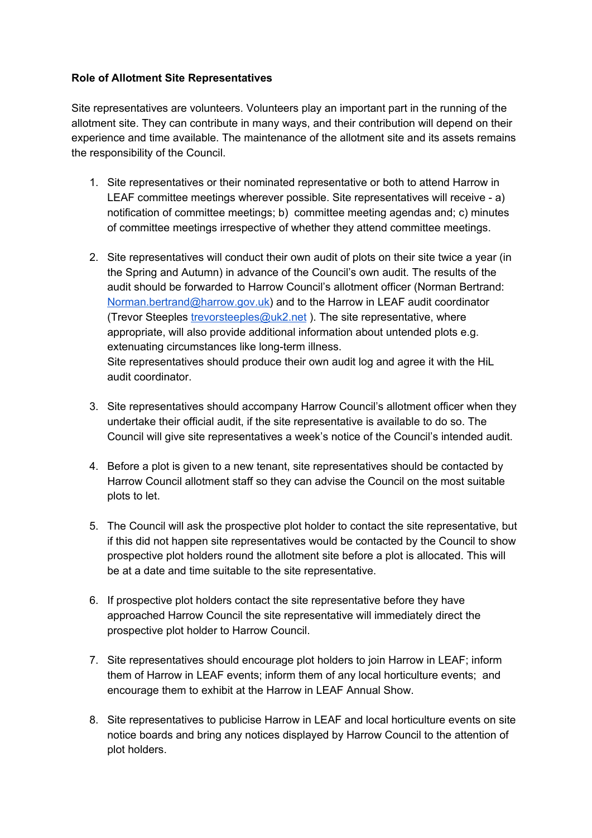## **Role of Allotment Site Representatives**

Site representatives are volunteers. Volunteers play an important part in the running of the allotment site. They can contribute in many ways, and their contribution will depend on their experience and time available. The maintenance of the allotment site and its assets remains the responsibility of the Council.

- 1. Site representatives or their nominated representative or both to attend Harrow in LEAF committee meetings wherever possible. Site representatives will receive - a) notification of committee meetings; b) committee meeting agendas and; c) minutes of committee meetings irrespective of whether they attend committee meetings.
- 2. Site representatives will conduct their own audit of plots on their site twice a year (in the Spring and Autumn) in advance of the Council's own audit. The results of the audit should be forwarded to Harrow Council's allotment officer (Norman Bertrand: [Norman.bertrand@harrow.gov.uk\)](mailto:Norman.bertrand@harrow.gov.uk) and to the Harrow in LEAF audit coordinator (Trevor Steeples [trevorsteeples@uk2.net](mailto:trevorsteeples@uk2.net) ). The site representative, where appropriate, will also provide additional information about untended plots e.g. extenuating circumstances like long-term illness. Site representatives should produce their own audit log and agree it with the HiL audit coordinator.
- 3. Site representatives should accompany Harrow Council's allotment officer when they undertake their official audit, if the site representative is available to do so. The Council will give site representatives a week's notice of the Council's intended audit.
- 4. Before a plot is given to a new tenant, site representatives should be contacted by Harrow Council allotment staff so they can advise the Council on the most suitable plots to let.
- 5. The Council will ask the prospective plot holder to contact the site representative, but if this did not happen site representatives would be contacted by the Council to show prospective plot holders round the allotment site before a plot is allocated. This will be at a date and time suitable to the site representative.
- 6. If prospective plot holders contact the site representative before they have approached Harrow Council the site representative will immediately direct the prospective plot holder to Harrow Council.
- 7. Site representatives should encourage plot holders to join Harrow in LEAF; inform them of Harrow in LEAF events; inform them of any local horticulture events; and encourage them to exhibit at the Harrow in LEAF Annual Show.
- 8. Site representatives to publicise Harrow in LEAF and local horticulture events on site notice boards and bring any notices displayed by Harrow Council to the attention of plot holders.